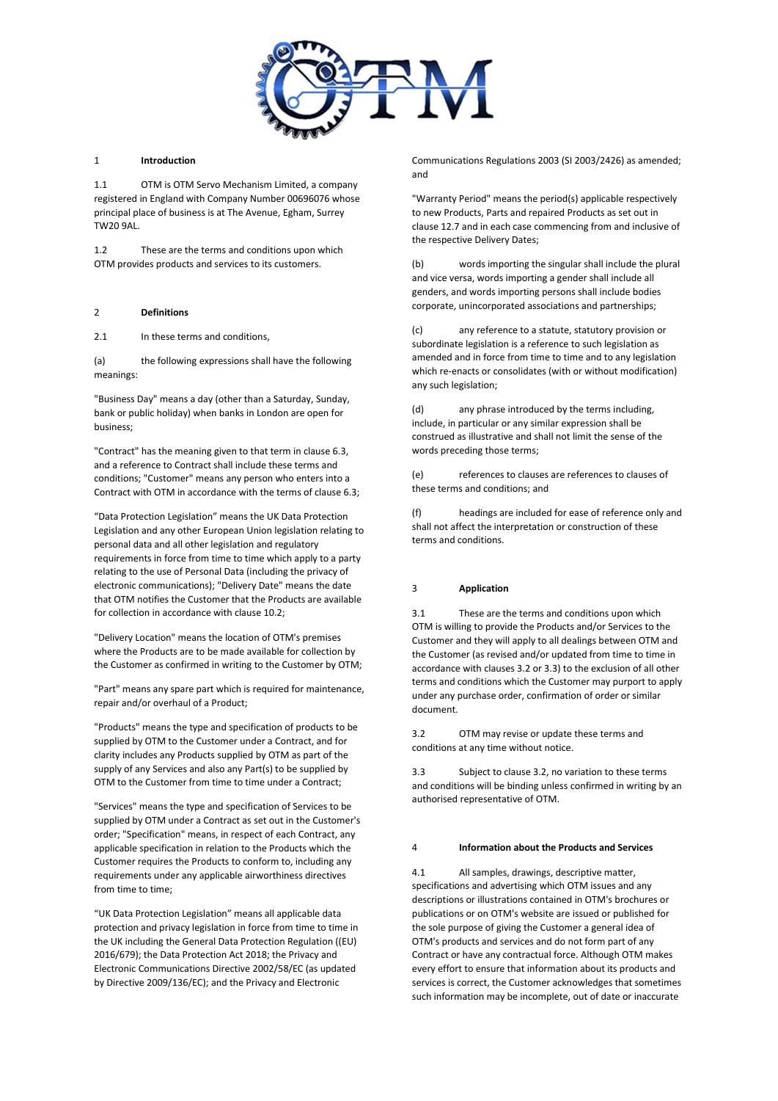

## 1 **Introduction**

1.1 OTM is OTM Servo Mechanism Limited, a company registered in England with Company Number 00696076 whose principal place of business is at The Avenue, Egham, Surrey TW20 9AL.

1.2 These are the terms and conditions upon which OTM provides products and services to its customers.

## 2 **Definitions**

2.1 In these terms and conditions,

(a) the following expressions shall have the following meanings:

"Business Day" means a day (other than a Saturday, Sunday, bank or public holiday) when banks in London are open for business;

"Contract" has the meaning given to that term in clause 6.3, and a reference to Contract shall include these terms and conditions; "Customer" means any person who enters into a Contract with OTM in accordance with the terms of clause 6.3;

"Data Protection Legislation" means the UK Data Protection Legislation and any other European Union legislation relating to personal data and all other legislation and regulatory requirements in force from time to time which apply to a party relating to the use of Personal Data (including the privacy of electronic communications); "Delivery Date" means the date that OTM notifies the Customer that the Products are available for collection in accordance with clause 10.2;

"Delivery Location" means the location of OTM's premises where the Products are to be made available for collection by the Customer as confirmed in writing to the Customer by OTM;

"Part" means any spare part which is required for maintenance, repair and/or overhaul of a Product;

"Products" means the type and specification of products to be supplied by OTM to the Customer under a Contract, and for clarity includes any Products supplied by OTM as part of the supply of any Services and also any Part(s) to be supplied by OTM to the Customer from time to time under a Contract;

"Services" means the type and specification of Services to be supplied by OTM under a Contract as set out in the Customer's order; "Specification" means, in respect of each Contract, any applicable specification in relation to the Products which the Customer requires the Products to conform to, including any requirements under any applicable airworthiness directives from time to time;

"UK Data Protection Legislation" means all applicable data protection and privacy legislation in force from time to time in the UK including the General Data Protection Regulation ((EU) 2016/679); the Data Protection Act 2018; the Privacy and Electronic Communications Directive 2002/58/EC (as updated by Directive 2009/136/EC); and the Privacy and Electronic

Communications Regulations 2003 (SI 2003/2426) as amended; and

"Warranty Period" means the period(s) applicable respectively to new Products, Parts and repaired Products as set out in clause 12.7 and in each case commencing from and inclusive of the respective Delivery Dates;

(b) words importing the singular shall include the plural and vice versa, words importing a gender shall include all genders, and words importing persons shall include bodies corporate, unincorporated associations and partnerships;

(c) any reference to a statute, statutory provision or subordinate legislation is a reference to such legislation as amended and in force from time to time and to any legislation which re-enacts or consolidates (with or without modification) any such legislation;

(d) any phrase introduced by the terms including, include, in particular or any similar expression shall be construed as illustrative and shall not limit the sense of the words preceding those terms;

(e) references to clauses are references to clauses of these terms and conditions; and

(f) headings are included for ease of reference only and shall not affect the interpretation or construction of these terms and conditions.

### 3 **Application**

3.1 These are the terms and conditions upon which OTM is willing to provide the Products and/or Services to the Customer and they will apply to all dealings between OTM and the Customer (as revised and/or updated from time to time in accordance with clauses 3.2 or 3.3) to the exclusion of all other terms and conditions which the Customer may purport to apply under any purchase order, confirmation of order or similar document.

3.2 OTM may revise or update these terms and conditions at any time without notice.

3.3 Subject to clause 3.2, no variation to these terms and conditions will be binding unless confirmed in writing by an authorised representative of OTM.

### 4 **Information about the Products and Services**

4.1 All samples, drawings, descriptive matter, specifications and advertising which OTM issues and any descriptions or illustrations contained in OTM's brochures or publications or on OTM's website are issued or published for the sole purpose of giving the Customer a general idea of OTM's products and services and do not form part of any Contract or have any contractual force. Although OTM makes every effort to ensure that information about its products and services is correct, the Customer acknowledges that sometimes such information may be incomplete, out of date or inaccurate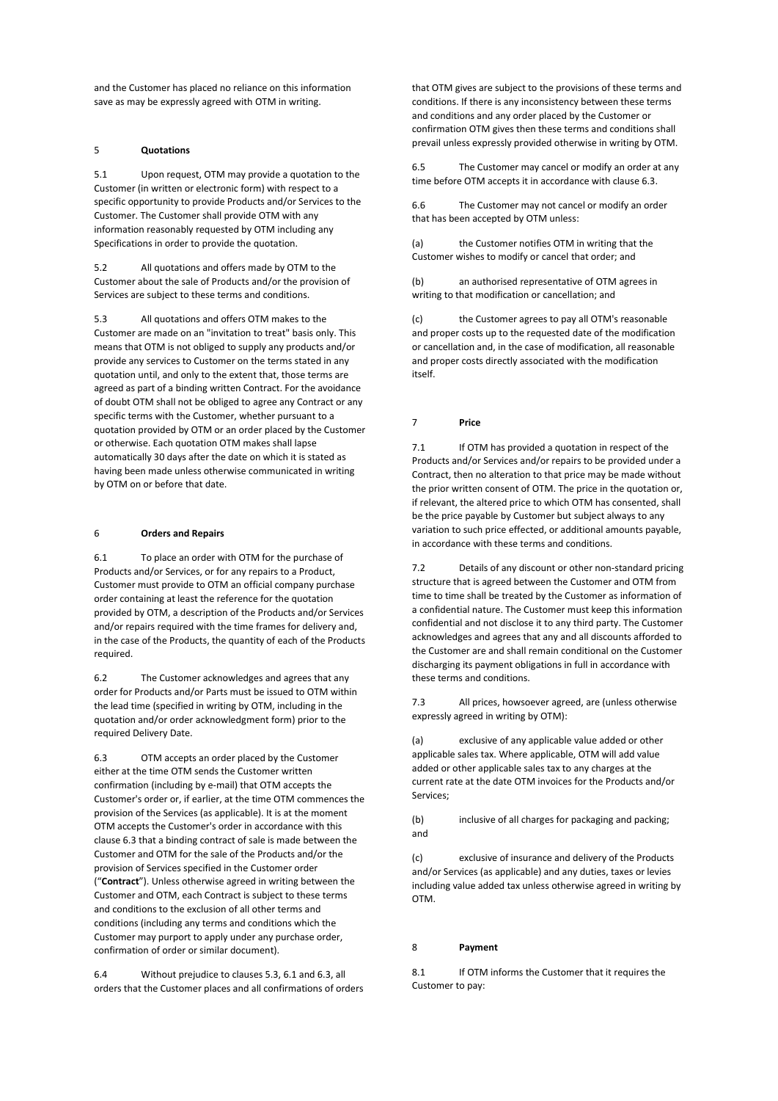and the Customer has placed no reliance on this information save as may be expressly agreed with OTM in writing.

# 5 **Quotations**

5.1 Upon request, OTM may provide a quotation to the Customer (in written or electronic form) with respect to a specific opportunity to provide Products and/or Services to the Customer. The Customer shall provide OTM with any information reasonably requested by OTM including any Specifications in order to provide the quotation.

5.2 All quotations and offers made by OTM to the Customer about the sale of Products and/or the provision of Services are subject to these terms and conditions.

5.3 All quotations and offers OTM makes to the Customer are made on an "invitation to treat" basis only. This means that OTM is not obliged to supply any products and/or provide any services to Customer on the terms stated in any quotation until, and only to the extent that, those terms are agreed as part of a binding written Contract. For the avoidance of doubt OTM shall not be obliged to agree any Contract or any specific terms with the Customer, whether pursuant to a quotation provided by OTM or an order placed by the Customer or otherwise. Each quotation OTM makes shall lapse automatically 30 days after the date on which it is stated as having been made unless otherwise communicated in writing by OTM on or before that date.

### 6 **Orders and Repairs**

6.1 To place an order with OTM for the purchase of Products and/or Services, or for any repairs to a Product, Customer must provide to OTM an official company purchase order containing at least the reference for the quotation provided by OTM, a description of the Products and/or Services and/or repairs required with the time frames for delivery and, in the case of the Products, the quantity of each of the Products required.

6.2 The Customer acknowledges and agrees that any order for Products and/or Parts must be issued to OTM within the lead time (specified in writing by OTM, including in the quotation and/or order acknowledgment form) prior to the required Delivery Date.

6.3 OTM accepts an order placed by the Customer either at the time OTM sends the Customer written confirmation (including by e-mail) that OTM accepts the Customer's order or, if earlier, at the time OTM commences the provision of the Services (as applicable). It is at the moment OTM accepts the Customer's order in accordance with this clause 6.3 that a binding contract of sale is made between the Customer and OTM for the sale of the Products and/or the provision of Services specified in the Customer order ("**Contract**"). Unless otherwise agreed in writing between the Customer and OTM, each Contract is subject to these terms and conditions to the exclusion of all other terms and conditions (including any terms and conditions which the Customer may purport to apply under any purchase order, confirmation of order or similar document).

6.4 Without prejudice to clauses 5.3, 6.1 and 6.3, all orders that the Customer places and all confirmations of orders

that OTM gives are subject to the provisions of these terms and conditions. If there is any inconsistency between these terms and conditions and any order placed by the Customer or confirmation OTM gives then these terms and conditions shall prevail unless expressly provided otherwise in writing by OTM.

6.5 The Customer may cancel or modify an order at any time before OTM accepts it in accordance with clause 6.3.

6.6 The Customer may not cancel or modify an order that has been accepted by OTM unless:

(a) the Customer notifies OTM in writing that the Customer wishes to modify or cancel that order; and

(b) an authorised representative of OTM agrees in writing to that modification or cancellation; and

(c) the Customer agrees to pay all OTM's reasonable and proper costs up to the requested date of the modification or cancellation and, in the case of modification, all reasonable and proper costs directly associated with the modification itself.

# 7 **Price**

7.1 If OTM has provided a quotation in respect of the Products and/or Services and/or repairs to be provided under a Contract, then no alteration to that price may be made without the prior written consent of OTM. The price in the quotation or, if relevant, the altered price to which OTM has consented, shall be the price payable by Customer but subject always to any variation to such price effected, or additional amounts payable, in accordance with these terms and conditions.

7.2 Details of any discount or other non-standard pricing structure that is agreed between the Customer and OTM from time to time shall be treated by the Customer as information of a confidential nature. The Customer must keep this information confidential and not disclose it to any third party. The Customer acknowledges and agrees that any and all discounts afforded to the Customer are and shall remain conditional on the Customer discharging its payment obligations in full in accordance with these terms and conditions.

7.3 All prices, howsoever agreed, are (unless otherwise expressly agreed in writing by OTM):

(a) exclusive of any applicable value added or other applicable sales tax. Where applicable, OTM will add value added or other applicable sales tax to any charges at the current rate at the date OTM invoices for the Products and/or Services;

(b) inclusive of all charges for packaging and packing; and

(c) exclusive of insurance and delivery of the Products and/or Services (as applicable) and any duties, taxes or levies including value added tax unless otherwise agreed in writing by OTM.

## 8 **Payment**

8.1 If OTM informs the Customer that it requires the Customer to pay: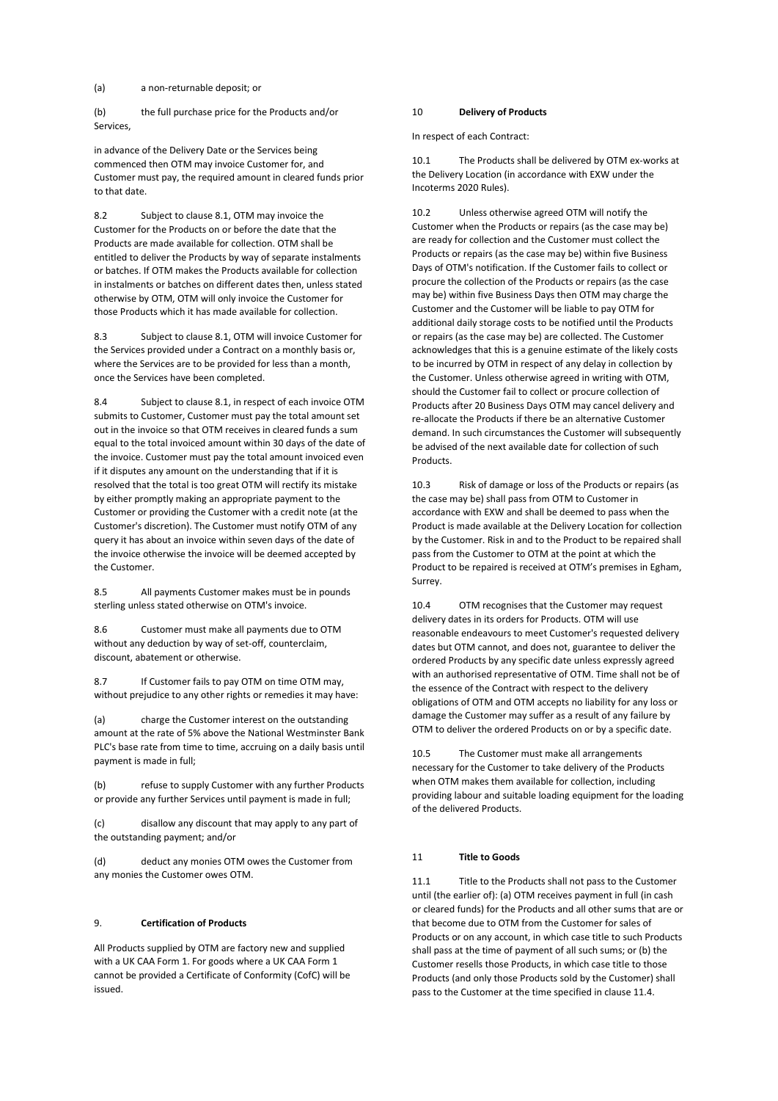(a) a non-returnable deposit; or

(b) the full purchase price for the Products and/or Services,

in advance of the Delivery Date or the Services being commenced then OTM may invoice Customer for, and Customer must pay, the required amount in cleared funds prior to that date.

8.2 Subject to clause 8.1, OTM may invoice the Customer for the Products on or before the date that the Products are made available for collection. OTM shall be entitled to deliver the Products by way of separate instalments or batches. If OTM makes the Products available for collection in instalments or batches on different dates then, unless stated otherwise by OTM, OTM will only invoice the Customer for those Products which it has made available for collection.

8.3 Subject to clause 8.1, OTM will invoice Customer for the Services provided under a Contract on a monthly basis or, where the Services are to be provided for less than a month, once the Services have been completed.

8.4 Subject to clause 8.1, in respect of each invoice OTM submits to Customer, Customer must pay the total amount set out in the invoice so that OTM receives in cleared funds a sum equal to the total invoiced amount within 30 days of the date of the invoice. Customer must pay the total amount invoiced even if it disputes any amount on the understanding that if it is resolved that the total is too great OTM will rectify its mistake by either promptly making an appropriate payment to the Customer or providing the Customer with a credit note (at the Customer's discretion). The Customer must notify OTM of any query it has about an invoice within seven days of the date of the invoice otherwise the invoice will be deemed accepted by the Customer.

8.5 All payments Customer makes must be in pounds sterling unless stated otherwise on OTM's invoice.

8.6 Customer must make all payments due to OTM without any deduction by way of set-off, counterclaim, discount, abatement or otherwise.

8.7 If Customer fails to pay OTM on time OTM may, without prejudice to any other rights or remedies it may have:

(a) charge the Customer interest on the outstanding amount at the rate of 5% above the National Westminster Bank PLC's base rate from time to time, accruing on a daily basis until payment is made in full;

(b) refuse to supply Customer with any further Products or provide any further Services until payment is made in full;

(c) disallow any discount that may apply to any part of the outstanding payment; and/or

(d) deduct any monies OTM owes the Customer from any monies the Customer owes OTM.

# 9. **Certification of Products**

All Products supplied by OTM are factory new and supplied with a UK CAA Form 1. For goods where a UK CAA Form 1 cannot be provided a Certificate of Conformity (CofC) will be issued.

### 10 **Delivery of Products**

In respect of each Contract:

10.1 The Products shall be delivered by OTM ex-works at the Delivery Location (in accordance with EXW under the Incoterms 2020 Rules).

10.2 Unless otherwise agreed OTM will notify the Customer when the Products or repairs (as the case may be) are ready for collection and the Customer must collect the Products or repairs (as the case may be) within five Business Days of OTM's notification. If the Customer fails to collect or procure the collection of the Products or repairs (as the case may be) within five Business Days then OTM may charge the Customer and the Customer will be liable to pay OTM for additional daily storage costs to be notified until the Products or repairs (as the case may be) are collected. The Customer acknowledges that this is a genuine estimate of the likely costs to be incurred by OTM in respect of any delay in collection by the Customer. Unless otherwise agreed in writing with OTM, should the Customer fail to collect or procure collection of Products after 20 Business Days OTM may cancel delivery and re-allocate the Products if there be an alternative Customer demand. In such circumstances the Customer will subsequently be advised of the next available date for collection of such **Products** 

10.3 Risk of damage or loss of the Products or repairs (as the case may be) shall pass from OTM to Customer in accordance with EXW and shall be deemed to pass when the Product is made available at the Delivery Location for collection by the Customer. Risk in and to the Product to be repaired shall pass from the Customer to OTM at the point at which the Product to be repaired is received at OTM's premises in Egham, Surrey.

10.4 OTM recognises that the Customer may request delivery dates in its orders for Products. OTM will use reasonable endeavours to meet Customer's requested delivery dates but OTM cannot, and does not, guarantee to deliver the ordered Products by any specific date unless expressly agreed with an authorised representative of OTM. Time shall not be of the essence of the Contract with respect to the delivery obligations of OTM and OTM accepts no liability for any loss or damage the Customer may suffer as a result of any failure by OTM to deliver the ordered Products on or by a specific date.

10.5 The Customer must make all arrangements necessary for the Customer to take delivery of the Products when OTM makes them available for collection, including providing labour and suitable loading equipment for the loading of the delivered Products.

# 11 **Title to Goods**

11.1 Title to the Products shall not pass to the Customer until (the earlier of): (a) OTM receives payment in full (in cash or cleared funds) for the Products and all other sums that are or that become due to OTM from the Customer for sales of Products or on any account, in which case title to such Products shall pass at the time of payment of all such sums; or (b) the Customer resells those Products, in which case title to those Products (and only those Products sold by the Customer) shall pass to the Customer at the time specified in clause 11.4.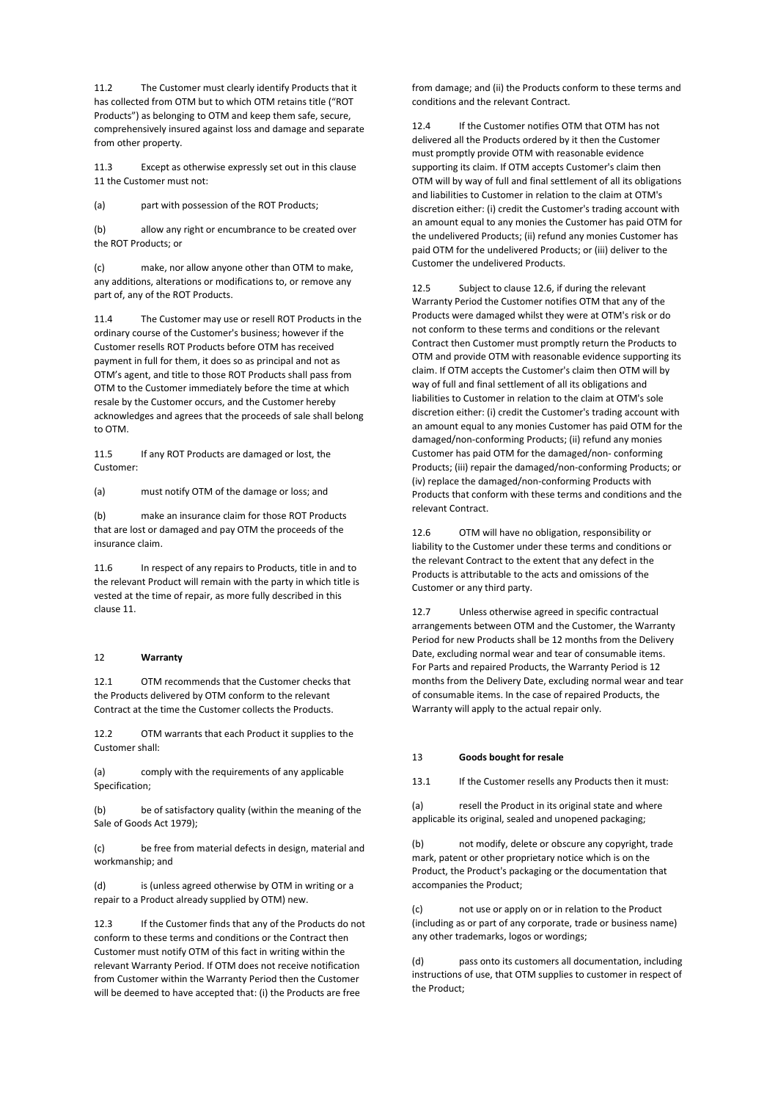11.2 The Customer must clearly identify Products that it has collected from OTM but to which OTM retains title ("ROT Products") as belonging to OTM and keep them safe, secure, comprehensively insured against loss and damage and separate from other property.

11.3 Except as otherwise expressly set out in this clause 11 the Customer must not:

(a) part with possession of the ROT Products;

(b) allow any right or encumbrance to be created over the ROT Products; or

(c) make, nor allow anyone other than OTM to make, any additions, alterations or modifications to, or remove any part of, any of the ROT Products.

The Customer may use or resell ROT Products in the ordinary course of the Customer's business; however if the Customer resells ROT Products before OTM has received payment in full for them, it does so as principal and not as OTM's agent, and title to those ROT Products shall pass from OTM to the Customer immediately before the time at which resale by the Customer occurs, and the Customer hereby acknowledges and agrees that the proceeds of sale shall belong to OTM.

11.5 If any ROT Products are damaged or lost, the Customer:

(a) must notify OTM of the damage or loss; and

(b) make an insurance claim for those ROT Products that are lost or damaged and pay OTM the proceeds of the insurance claim.

11.6 In respect of any repairs to Products, title in and to the relevant Product will remain with the party in which title is vested at the time of repair, as more fully described in this clause 11.

## 12 **Warranty**

12.1 OTM recommends that the Customer checks that the Products delivered by OTM conform to the relevant Contract at the time the Customer collects the Products.

12.2 OTM warrants that each Product it supplies to the Customer shall:

(a) comply with the requirements of any applicable Specification;

(b) be of satisfactory quality (within the meaning of the Sale of Goods Act 1979);

(c) be free from material defects in design, material and workmanship; and

(d) is (unless agreed otherwise by OTM in writing or a repair to a Product already supplied by OTM) new.

12.3 If the Customer finds that any of the Products do not conform to these terms and conditions or the Contract then Customer must notify OTM of this fact in writing within the relevant Warranty Period. If OTM does not receive notification from Customer within the Warranty Period then the Customer will be deemed to have accepted that: (i) the Products are free

from damage; and (ii) the Products conform to these terms and conditions and the relevant Contract.

12.4 If the Customer notifies OTM that OTM has not delivered all the Products ordered by it then the Customer must promptly provide OTM with reasonable evidence supporting its claim. If OTM accepts Customer's claim then OTM will by way of full and final settlement of all its obligations and liabilities to Customer in relation to the claim at OTM's discretion either: (i) credit the Customer's trading account with an amount equal to any monies the Customer has paid OTM for the undelivered Products; (ii) refund any monies Customer has paid OTM for the undelivered Products; or (iii) deliver to the Customer the undelivered Products.

12.5 Subject to clause 12.6, if during the relevant Warranty Period the Customer notifies OTM that any of the Products were damaged whilst they were at OTM's risk or do not conform to these terms and conditions or the relevant Contract then Customer must promptly return the Products to OTM and provide OTM with reasonable evidence supporting its claim. If OTM accepts the Customer's claim then OTM will by way of full and final settlement of all its obligations and liabilities to Customer in relation to the claim at OTM's sole discretion either: (i) credit the Customer's trading account with an amount equal to any monies Customer has paid OTM for the damaged/non-conforming Products; (ii) refund any monies Customer has paid OTM for the damaged/non- conforming Products; (iii) repair the damaged/non-conforming Products; or (iv) replace the damaged/non-conforming Products with Products that conform with these terms and conditions and the relevant Contract.

12.6 OTM will have no obligation, responsibility or liability to the Customer under these terms and conditions or the relevant Contract to the extent that any defect in the Products is attributable to the acts and omissions of the Customer or any third party.

12.7 Unless otherwise agreed in specific contractual arrangements between OTM and the Customer, the Warranty Period for new Products shall be 12 months from the Delivery Date, excluding normal wear and tear of consumable items. For Parts and repaired Products, the Warranty Period is 12 months from the Delivery Date, excluding normal wear and tear of consumable items. In the case of repaired Products, the Warranty will apply to the actual repair only.

## 13 **Goods bought for resale**

13.1 If the Customer resells any Products then it must:

(a) resell the Product in its original state and where applicable its original, sealed and unopened packaging;

(b) not modify, delete or obscure any copyright, trade mark, patent or other proprietary notice which is on the Product, the Product's packaging or the documentation that accompanies the Product;

(c) not use or apply on or in relation to the Product (including as or part of any corporate, trade or business name) any other trademarks, logos or wordings;

(d) pass onto its customers all documentation, including instructions of use, that OTM supplies to customer in respect of the Product;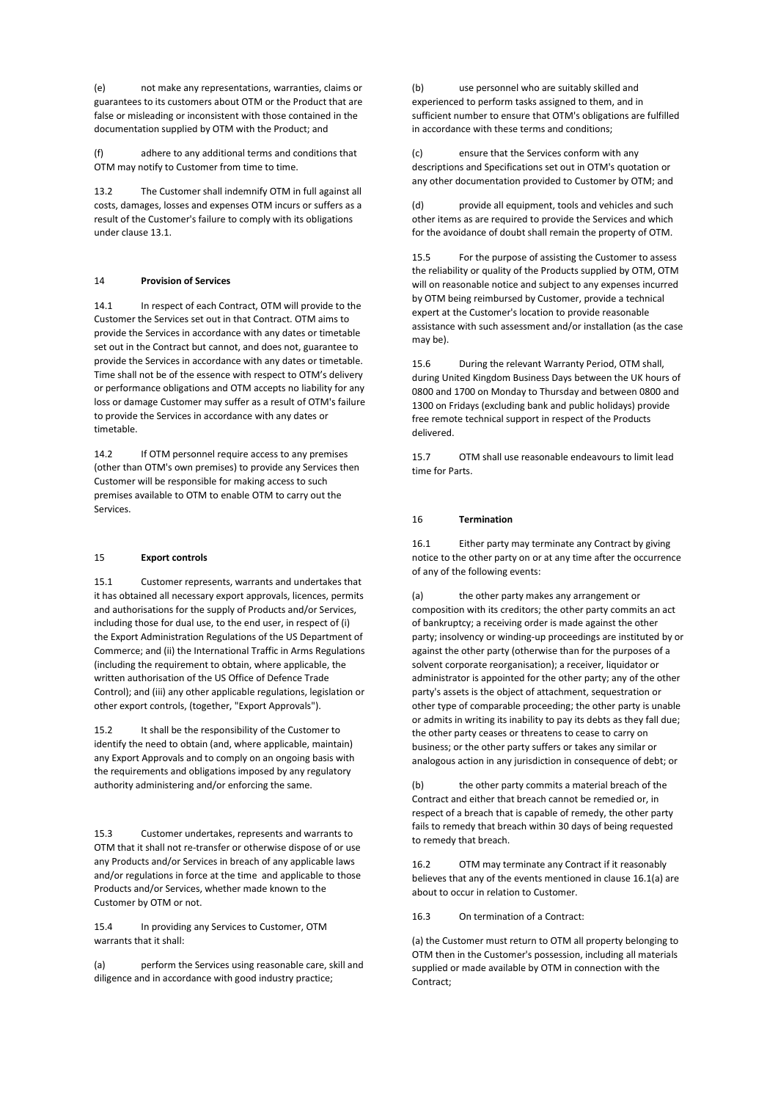(e) not make any representations, warranties, claims or guarantees to its customers about OTM or the Product that are false or misleading or inconsistent with those contained in the documentation supplied by OTM with the Product; and

(f) adhere to any additional terms and conditions that OTM may notify to Customer from time to time.

13.2 The Customer shall indemnify OTM in full against all costs, damages, losses and expenses OTM incurs or suffers as a result of the Customer's failure to comply with its obligations under clause 13.1.

## 14 **Provision of Services**

14.1 In respect of each Contract, OTM will provide to the Customer the Services set out in that Contract. OTM aims to provide the Services in accordance with any dates or timetable set out in the Contract but cannot, and does not, guarantee to provide the Services in accordance with any dates or timetable. Time shall not be of the essence with respect to OTM's delivery or performance obligations and OTM accepts no liability for any loss or damage Customer may suffer as a result of OTM's failure to provide the Services in accordance with any dates or timetable.

14.2 If OTM personnel require access to any premises (other than OTM's own premises) to provide any Services then Customer will be responsible for making access to such premises available to OTM to enable OTM to carry out the Services.

## 15 **Export controls**

15.1 Customer represents, warrants and undertakes that it has obtained all necessary export approvals, licences, permits and authorisations for the supply of Products and/or Services, including those for dual use, to the end user, in respect of (i) the Export Administration Regulations of the US Department of Commerce; and (ii) the International Traffic in Arms Regulations (including the requirement to obtain, where applicable, the written authorisation of the US Office of Defence Trade Control); and (iii) any other applicable regulations, legislation or other export controls, (together, "Export Approvals").

15.2 It shall be the responsibility of the Customer to identify the need to obtain (and, where applicable, maintain) any Export Approvals and to comply on an ongoing basis with the requirements and obligations imposed by any regulatory authority administering and/or enforcing the same.

15.3 Customer undertakes, represents and warrants to OTM that it shall not re-transfer or otherwise dispose of or use any Products and/or Services in breach of any applicable laws and/or regulations in force at the time and applicable to those Products and/or Services, whether made known to the Customer by OTM or not.

15.4 In providing any Services to Customer, OTM warrants that it shall:

(a) perform the Services using reasonable care, skill and diligence and in accordance with good industry practice;

(b) use personnel who are suitably skilled and experienced to perform tasks assigned to them, and in sufficient number to ensure that OTM's obligations are fulfilled in accordance with these terms and conditions;

(c) ensure that the Services conform with any descriptions and Specifications set out in OTM's quotation or any other documentation provided to Customer by OTM; and

(d) provide all equipment, tools and vehicles and such other items as are required to provide the Services and which for the avoidance of doubt shall remain the property of OTM.

15.5 For the purpose of assisting the Customer to assess the reliability or quality of the Products supplied by OTM, OTM will on reasonable notice and subject to any expenses incurred by OTM being reimbursed by Customer, provide a technical expert at the Customer's location to provide reasonable assistance with such assessment and/or installation (as the case may be).

15.6 During the relevant Warranty Period, OTM shall, during United Kingdom Business Days between the UK hours of 0800 and 1700 on Monday to Thursday and between 0800 and 1300 on Fridays (excluding bank and public holidays) provide free remote technical support in respect of the Products delivered.

15.7 OTM shall use reasonable endeavours to limit lead time for Parts.

### 16 **Termination**

16.1 Either party may terminate any Contract by giving notice to the other party on or at any time after the occurrence of any of the following events:

(a) the other party makes any arrangement or composition with its creditors; the other party commits an act of bankruptcy; a receiving order is made against the other party; insolvency or winding-up proceedings are instituted by or against the other party (otherwise than for the purposes of a solvent corporate reorganisation); a receiver, liquidator or administrator is appointed for the other party; any of the other party's assets is the object of attachment, sequestration or other type of comparable proceeding; the other party is unable or admits in writing its inability to pay its debts as they fall due; the other party ceases or threatens to cease to carry on business; or the other party suffers or takes any similar or analogous action in any jurisdiction in consequence of debt; or

the other party commits a material breach of the Contract and either that breach cannot be remedied or, in respect of a breach that is capable of remedy, the other party fails to remedy that breach within 30 days of being requested to remedy that breach.

16.2 OTM may terminate any Contract if it reasonably believes that any of the events mentioned in clause 16.1(a) are about to occur in relation to Customer.

16.3 On termination of a Contract:

(a) the Customer must return to OTM all property belonging to OTM then in the Customer's possession, including all materials supplied or made available by OTM in connection with the Contract;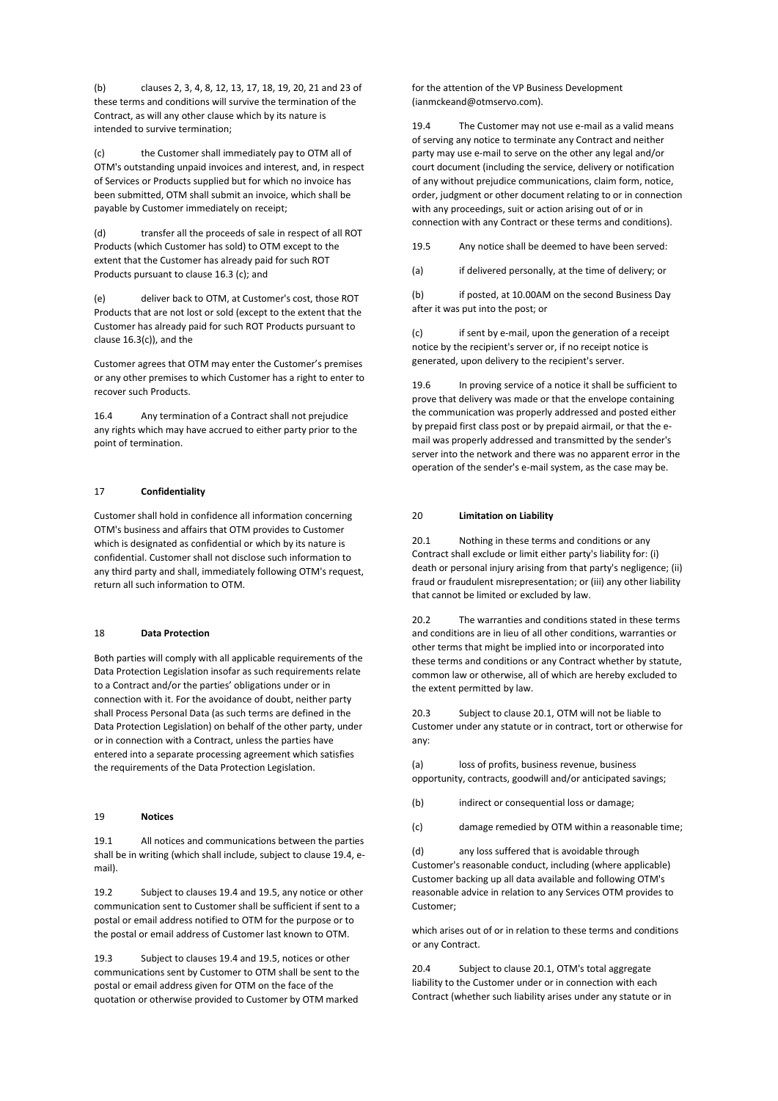(b) clauses 2, 3, 4, 8, 12, 13, 17, 18, 19, 20, 21 and 23 of these terms and conditions will survive the termination of the Contract, as will any other clause which by its nature is intended to survive termination;

(c) the Customer shall immediately pay to OTM all of OTM's outstanding unpaid invoices and interest, and, in respect of Services or Products supplied but for which no invoice has been submitted, OTM shall submit an invoice, which shall be payable by Customer immediately on receipt;

(d) transfer all the proceeds of sale in respect of all ROT Products (which Customer has sold) to OTM except to the extent that the Customer has already paid for such ROT Products pursuant to clause 16.3 (c); and

(e) deliver back to OTM, at Customer's cost, those ROT Products that are not lost or sold (except to the extent that the Customer has already paid for such ROT Products pursuant to clause 16.3(c)), and the

Customer agrees that OTM may enter the Customer's premises or any other premises to which Customer has a right to enter to recover such Products.

16.4 Any termination of a Contract shall not prejudice any rights which may have accrued to either party prior to the point of termination.

# 17 **Confidentiality**

Customer shall hold in confidence all information concerning OTM's business and affairs that OTM provides to Customer which is designated as confidential or which by its nature is confidential. Customer shall not disclose such information to any third party and shall, immediately following OTM's request, return all such information to OTM.

### 18 **Data Protection**

Both parties will comply with all applicable requirements of the Data Protection Legislation insofar as such requirements relate to a Contract and/or the parties' obligations under or in connection with it. For the avoidance of doubt, neither party shall Process Personal Data (as such terms are defined in the Data Protection Legislation) on behalf of the other party, under or in connection with a Contract, unless the parties have entered into a separate processing agreement which satisfies the requirements of the Data Protection Legislation.

#### 19 **Notices**

19.1 All notices and communications between the parties shall be in writing (which shall include, subject to clause 19.4, email).

19.2 Subject to clauses 19.4 and 19.5, any notice or other communication sent to Customer shall be sufficient if sent to a postal or email address notified to OTM for the purpose or to the postal or email address of Customer last known to OTM.

19.3 Subject to clauses 19.4 and 19.5, notices or other communications sent by Customer to OTM shall be sent to the postal or email address given for OTM on the face of the quotation or otherwise provided to Customer by OTM marked

for the attention of the VP Business Development (ianmckeand@otmservo.com).

19.4 The Customer may not use e-mail as a valid means of serving any notice to terminate any Contract and neither party may use e-mail to serve on the other any legal and/or court document (including the service, delivery or notification of any without prejudice communications, claim form, notice, order, judgment or other document relating to or in connection with any proceedings, suit or action arising out of or in connection with any Contract or these terms and conditions).

- 19.5 Any notice shall be deemed to have been served:
- (a) if delivered personally, at the time of delivery; or

(b) if posted, at 10.00AM on the second Business Day after it was put into the post; or

(c) if sent by e-mail, upon the generation of a receipt notice by the recipient's server or, if no receipt notice is generated, upon delivery to the recipient's server.

19.6 In proving service of a notice it shall be sufficient to prove that delivery was made or that the envelope containing the communication was properly addressed and posted either by prepaid first class post or by prepaid airmail, or that the email was properly addressed and transmitted by the sender's server into the network and there was no apparent error in the operation of the sender's e-mail system, as the case may be.

#### 20 **Limitation on Liability**

20.1 Nothing in these terms and conditions or any Contract shall exclude or limit either party's liability for: (i) death or personal injury arising from that party's negligence; (ii) fraud or fraudulent misrepresentation; or (iii) any other liability that cannot be limited or excluded by law.

20.2 The warranties and conditions stated in these terms and conditions are in lieu of all other conditions, warranties or other terms that might be implied into or incorporated into these terms and conditions or any Contract whether by statute, common law or otherwise, all of which are hereby excluded to the extent permitted by law.

20.3 Subject to clause 20.1, OTM will not be liable to Customer under any statute or in contract, tort or otherwise for any:

(a) loss of profits, business revenue, business opportunity, contracts, goodwill and/or anticipated savings;

(b) indirect or consequential loss or damage;

(c) damage remedied by OTM within a reasonable time;

(d) any loss suffered that is avoidable through Customer's reasonable conduct, including (where applicable) Customer backing up all data available and following OTM's reasonable advice in relation to any Services OTM provides to Customer;

which arises out of or in relation to these terms and conditions or any Contract.

20.4 Subject to clause 20.1, OTM's total aggregate liability to the Customer under or in connection with each Contract (whether such liability arises under any statute or in